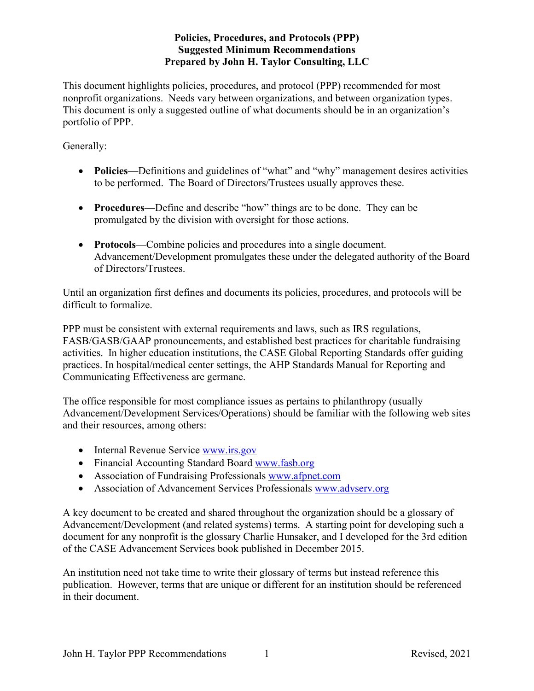This document highlights policies, procedures, and protocol (PPP) recommended for most nonprofit organizations. Needs vary between organizations, and between organization types. This document is only a suggested outline of what documents should be in an organization's portfolio of PPP.

Generally:

- **Policies**—Definitions and guidelines of "what" and "why" management desires activities to be performed. The Board of Directors/Trustees usually approves these.
- **Procedures**—Define and describe "how" things are to be done. They can be promulgated by the division with oversight for those actions.
- **Protocols**—Combine policies and procedures into a single document. Advancement/Development promulgates these under the delegated authority of the Board of Directors/Trustees.

Until an organization first defines and documents its policies, procedures, and protocols will be difficult to formalize.

PPP must be consistent with external requirements and laws, such as IRS regulations, FASB/GASB/GAAP pronouncements, and established best practices for charitable fundraising activities. In higher education institutions, the CASE Global Reporting Standards offer guiding practices. In hospital/medical center settings, the AHP Standards Manual for Reporting and Communicating Effectiveness are germane.

The office responsible for most compliance issues as pertains to philanthropy (usually Advancement/Development Services/Operations) should be familiar with the following web sites and their resources, among others:

- Internal Revenue Service [www.irs.gov](http://www.irs.gov/)
- Financial Accounting Standard Board [www.fasb.org](http://www.fasb.org/)
- Association of Fundraising Professionals [www.afpnet.com](http://www.afpnet.com/)
- Association of Advancement Services Professionals [www.advserv.org](http://www.advserv.org/)

A key document to be created and shared throughout the organization should be a glossary of Advancement/Development (and related systems) terms. A starting point for developing such a document for any nonprofit is the glossary Charlie Hunsaker, and I developed for the 3rd edition of the CASE Advancement Services book published in December 2015.

An institution need not take time to write their glossary of terms but instead reference this publication. However, terms that are unique or different for an institution should be referenced in their document.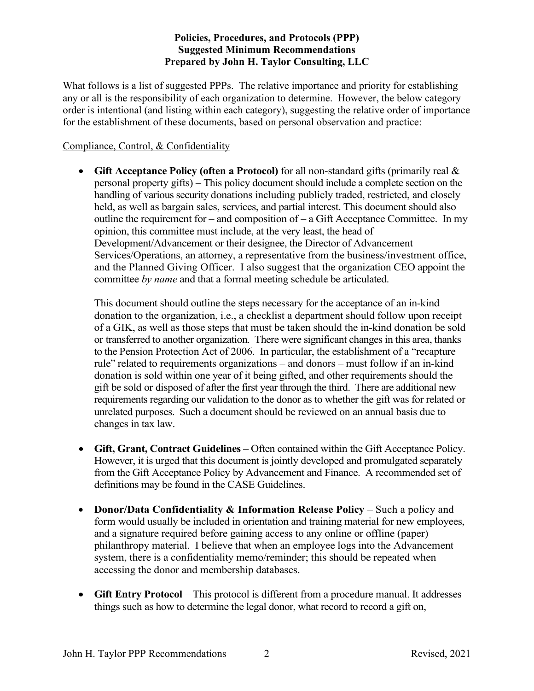What follows is a list of suggested PPPs. The relative importance and priority for establishing any or all is the responsibility of each organization to determine. However, the below category order is intentional (and listing within each category), suggesting the relative order of importance for the establishment of these documents, based on personal observation and practice:

# Compliance, Control, & Confidentiality

• **Gift Acceptance Policy (often a Protocol)** for all non-standard gifts (primarily real & personal property gifts) – This policy document should include a complete section on the handling of various security donations including publicly traded, restricted, and closely held, as well as bargain sales, services, and partial interest. This document should also outline the requirement for – and composition of – a Gift Acceptance Committee. In my opinion, this committee must include, at the very least, the head of Development/Advancement or their designee, the Director of Advancement Services/Operations, an attorney, a representative from the business/investment office, and the Planned Giving Officer. I also suggest that the organization CEO appoint the committee *by name* and that a formal meeting schedule be articulated.

This document should outline the steps necessary for the acceptance of an in-kind donation to the organization, i.e., a checklist a department should follow upon receipt of a GIK, as well as those steps that must be taken should the in-kind donation be sold or transferred to another organization. There were significant changes in this area, thanks to the Pension Protection Act of 2006. In particular, the establishment of a "recapture rule" related to requirements organizations – and donors – must follow if an in-kind donation is sold within one year of it being gifted, and other requirements should the gift be sold or disposed of after the first year through the third. There are additional new requirements regarding our validation to the donor as to whether the gift was for related or unrelated purposes. Such a document should be reviewed on an annual basis due to changes in tax law.

- **Gift, Grant, Contract Guidelines** Often contained within the Gift Acceptance Policy. However, it is urged that this document is jointly developed and promulgated separately from the Gift Acceptance Policy by Advancement and Finance. A recommended set of definitions may be found in the CASE Guidelines.
- **Donor/Data Confidentiality & Information Release Policy** Such a policy and form would usually be included in orientation and training material for new employees, and a signature required before gaining access to any online or offline (paper) philanthropy material. I believe that when an employee logs into the Advancement system, there is a confidentiality memo/reminder; this should be repeated when accessing the donor and membership databases.
- **Gift Entry Protocol** This protocol is different from a procedure manual. It addresses things such as how to determine the legal donor, what record to record a gift on,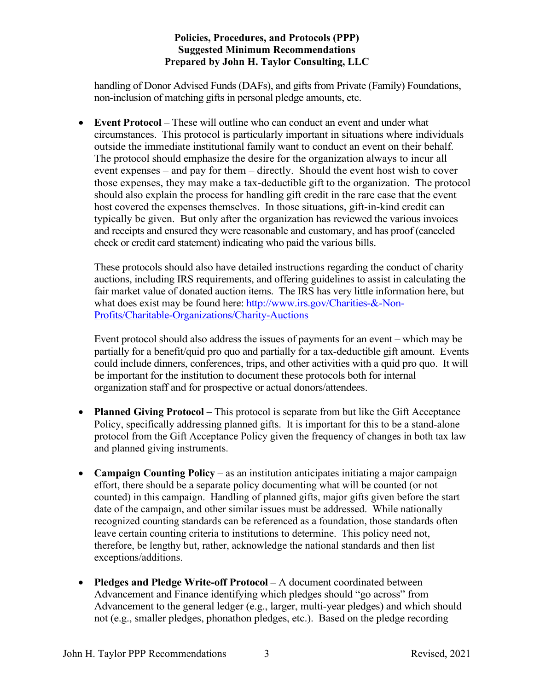handling of Donor Advised Funds (DAFs), and gifts from Private (Family) Foundations, non-inclusion of matching gifts in personal pledge amounts, etc.

• **Event Protocol** – These will outline who can conduct an event and under what circumstances. This protocol is particularly important in situations where individuals outside the immediate institutional family want to conduct an event on their behalf. The protocol should emphasize the desire for the organization always to incur all event expenses – and pay for them – directly. Should the event host wish to cover those expenses, they may make a tax-deductible gift to the organization. The protocol should also explain the process for handling gift credit in the rare case that the event host covered the expenses themselves. In those situations, gift-in-kind credit can typically be given. But only after the organization has reviewed the various invoices and receipts and ensured they were reasonable and customary, and has proof (canceled check or credit card statement) indicating who paid the various bills.

These protocols should also have detailed instructions regarding the conduct of charity auctions, including IRS requirements, and offering guidelines to assist in calculating the fair market value of donated auction items. The IRS has very little information here, but what does exist may be found here: [http://www.irs.gov/Charities-&-Non-](http://www.irs.gov/Charities-&-Non-Profits/Charitable-Organizations/Charity-Auctions)[Profits/Charitable-Organizations/Charity-Auctions](http://www.irs.gov/Charities-&-Non-Profits/Charitable-Organizations/Charity-Auctions)

Event protocol should also address the issues of payments for an event – which may be partially for a benefit/quid pro quo and partially for a tax-deductible gift amount. Events could include dinners, conferences, trips, and other activities with a quid pro quo. It will be important for the institution to document these protocols both for internal organization staff and for prospective or actual donors/attendees.

- **Planned Giving Protocol** This protocol is separate from but like the Gift Acceptance Policy, specifically addressing planned gifts. It is important for this to be a stand-alone protocol from the Gift Acceptance Policy given the frequency of changes in both tax law and planned giving instruments.
- **Campaign Counting Policy** as an institution anticipates initiating a major campaign effort, there should be a separate policy documenting what will be counted (or not counted) in this campaign. Handling of planned gifts, major gifts given before the start date of the campaign, and other similar issues must be addressed. While nationally recognized counting standards can be referenced as a foundation, those standards often leave certain counting criteria to institutions to determine. This policy need not, therefore, be lengthy but, rather, acknowledge the national standards and then list exceptions/additions.
- **Pledges and Pledge Write-off Protocol –** A document coordinated between Advancement and Finance identifying which pledges should "go across" from Advancement to the general ledger (e.g., larger, multi-year pledges) and which should not (e.g., smaller pledges, phonathon pledges, etc.). Based on the pledge recording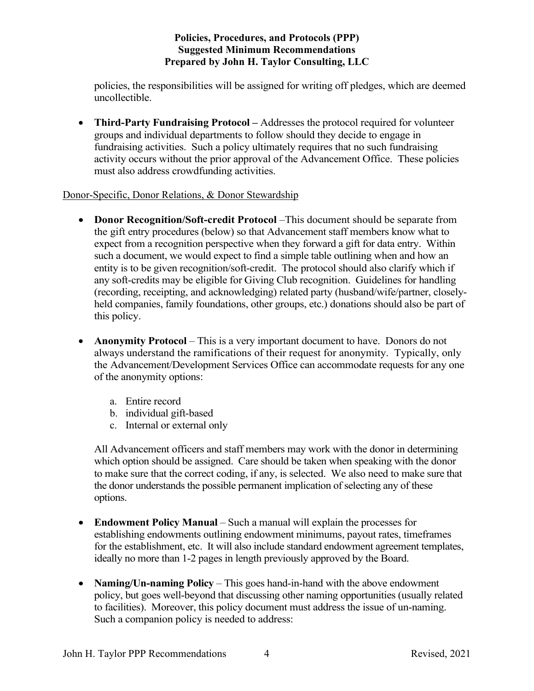policies, the responsibilities will be assigned for writing off pledges, which are deemed uncollectible.

• **Third-Party Fundraising Protocol –** Addresses the protocol required for volunteer groups and individual departments to follow should they decide to engage in fundraising activities. Such a policy ultimately requires that no such fundraising activity occurs without the prior approval of the Advancement Office. These policies must also address crowdfunding activities.

#### Donor-Specific, Donor Relations, & Donor Stewardship

- **Donor Recognition/Soft-credit Protocol** –This document should be separate from the gift entry procedures (below) so that Advancement staff members know what to expect from a recognition perspective when they forward a gift for data entry. Within such a document, we would expect to find a simple table outlining when and how an entity is to be given recognition/soft-credit. The protocol should also clarify which if any soft-credits may be eligible for Giving Club recognition. Guidelines for handling (recording, receipting, and acknowledging) related party (husband/wife/partner, closelyheld companies, family foundations, other groups, etc.) donations should also be part of this policy.
- **Anonymity Protocol** This is a very important document to have. Donors do not always understand the ramifications of their request for anonymity. Typically, only the Advancement/Development Services Office can accommodate requests for any one of the anonymity options:
	- a. Entire record
	- b. individual gift-based
	- c. Internal or external only

All Advancement officers and staff members may work with the donor in determining which option should be assigned. Care should be taken when speaking with the donor to make sure that the correct coding, if any, is selected. We also need to make sure that the donor understands the possible permanent implication of selecting any of these options.

- **Endowment Policy Manual** Such a manual will explain the processes for establishing endowments outlining endowment minimums, payout rates, timeframes for the establishment, etc. It will also include standard endowment agreement templates, ideally no more than 1-2 pages in length previously approved by the Board.
- **Naming/Un-naming Policy** This goes hand-in-hand with the above endowment policy, but goes well-beyond that discussing other naming opportunities (usually related to facilities). Moreover, this policy document must address the issue of un-naming. Such a companion policy is needed to address: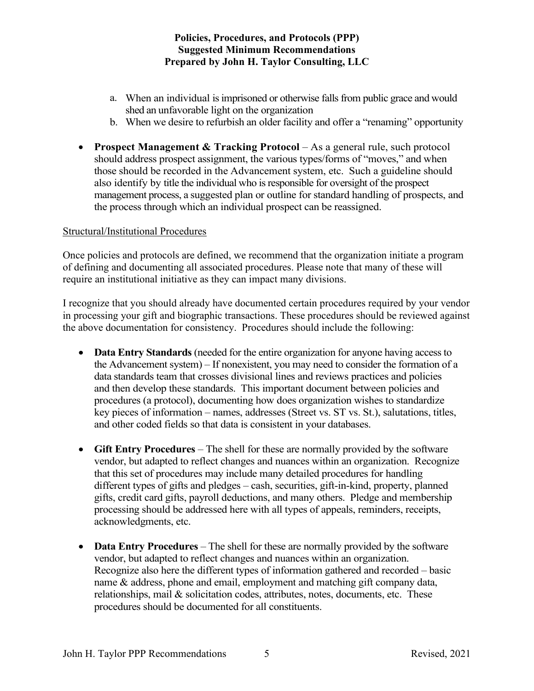- a. When an individual is imprisoned or otherwise falls from public grace and would shed an unfavorable light on the organization
- b. When we desire to refurbish an older facility and offer a "renaming" opportunity
- **Prospect Management & Tracking Protocol** As a general rule, such protocol should address prospect assignment, the various types/forms of "moves," and when those should be recorded in the Advancement system, etc. Such a guideline should also identify by title the individual who is responsible for oversight of the prospect management process, a suggested plan or outline for standard handling of prospects, and the process through which an individual prospect can be reassigned.

#### Structural/Institutional Procedures

Once policies and protocols are defined, we recommend that the organization initiate a program of defining and documenting all associated procedures. Please note that many of these will require an institutional initiative as they can impact many divisions.

I recognize that you should already have documented certain procedures required by your vendor in processing your gift and biographic transactions. These procedures should be reviewed against the above documentation for consistency. Procedures should include the following:

- **Data Entry Standards** (needed for the entire organization for anyone having access to the Advancement system) – If nonexistent, you may need to consider the formation of a data standards team that crosses divisional lines and reviews practices and policies and then develop these standards. This important document between policies and procedures (a protocol), documenting how does organization wishes to standardize key pieces of information – names, addresses (Street vs. ST vs. St.), salutations, titles, and other coded fields so that data is consistent in your databases.
- **Gift Entry Procedures** The shell for these are normally provided by the software vendor, but adapted to reflect changes and nuances within an organization. Recognize that this set of procedures may include many detailed procedures for handling different types of gifts and pledges – cash, securities, gift-in-kind, property, planned gifts, credit card gifts, payroll deductions, and many others. Pledge and membership processing should be addressed here with all types of appeals, reminders, receipts, acknowledgments, etc.
- **Data Entry Procedures** The shell for these are normally provided by the software vendor, but adapted to reflect changes and nuances within an organization. Recognize also here the different types of information gathered and recorded – basic name & address, phone and email, employment and matching gift company data, relationships, mail & solicitation codes, attributes, notes, documents, etc. These procedures should be documented for all constituents.